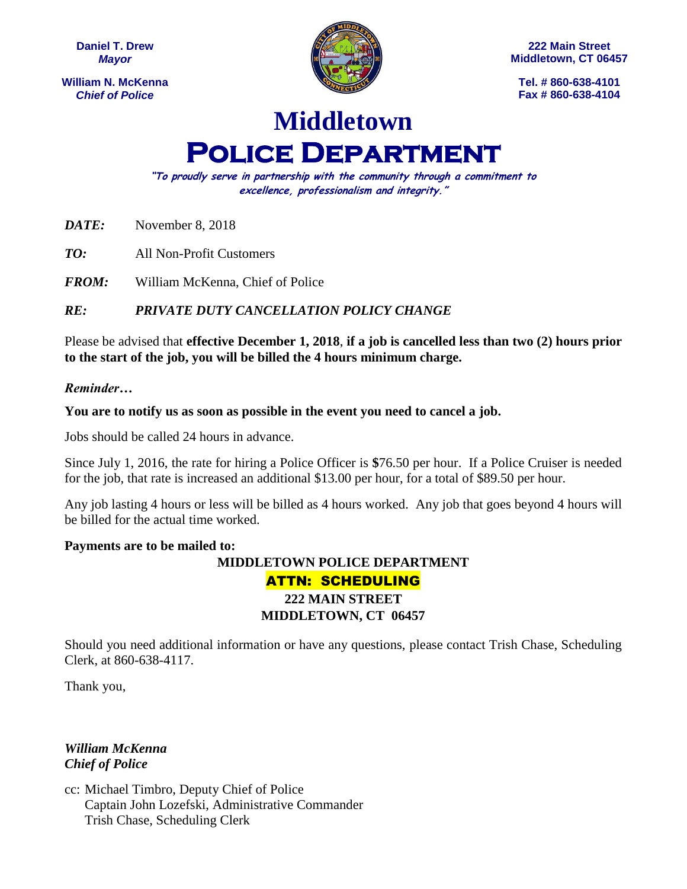**Daniel T. Drew** *Mayor*

**William N. McKenna** *Chief of Police*



**222 Main Street Middletown, CT 06457**

**Tel. # 860-638-4101 Fax # 860-638-4104**

## **Middletown Police Department**

**"To proudly serve in partnership with the community through a commitment to excellence, professionalism and integrity."**

*DATE:* November 8, 2018

*TO:* All Non-Profit Customers

*FROM:* William McKenna, Chief of Police

*RE: PRIVATE DUTY CANCELLATION POLICY CHANGE*

Please be advised that **effective December 1, 2018**, **if a job is cancelled less than two (2) hours prior to the start of the job, you will be billed the 4 hours minimum charge.**

## *Reminder…*

**You are to notify us as soon as possible in the event you need to cancel a job.**

Jobs should be called 24 hours in advance.

Since July 1, 2016, the rate for hiring a Police Officer is **\$**76.50 per hour. If a Police Cruiser is needed for the job, that rate is increased an additional \$13.00 per hour, for a total of \$89.50 per hour.

Any job lasting 4 hours or less will be billed as 4 hours worked. Any job that goes beyond 4 hours will be billed for the actual time worked.

## **Payments are to be mailed to:**

## **MIDDLETOWN POLICE DEPARTMENT** ATTN: SCHEDULING **222 MAIN STREET MIDDLETOWN, CT 06457**

Should you need additional information or have any questions, please contact Trish Chase, Scheduling Clerk, at 860-638-4117.

Thank you,

*William McKenna Chief of Police*

cc: Michael Timbro, Deputy Chief of Police Captain John Lozefski, Administrative Commander Trish Chase, Scheduling Clerk